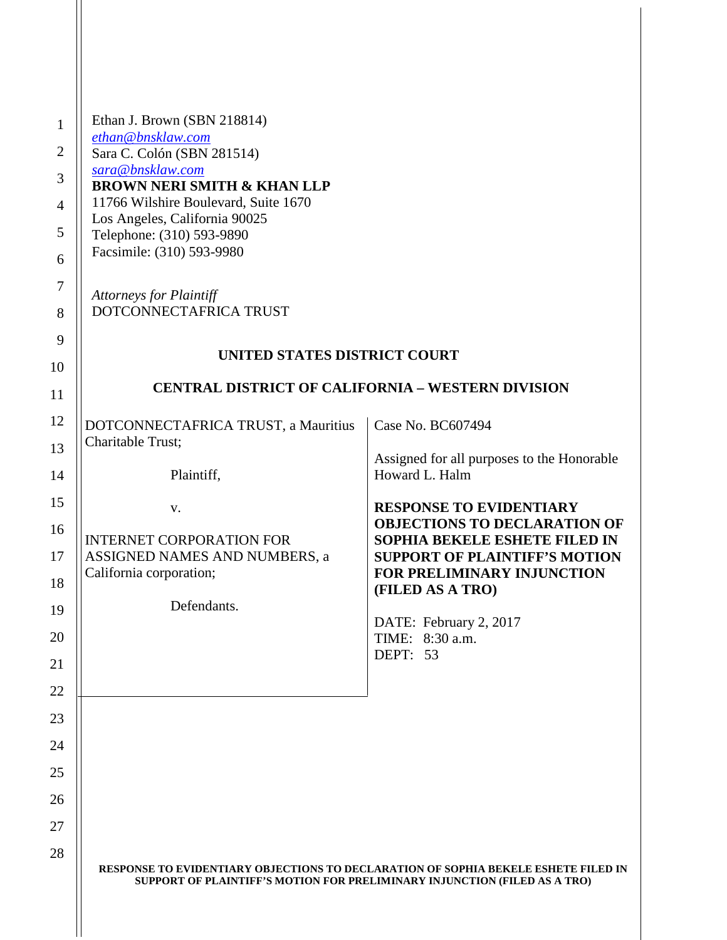| 1              | Ethan J. Brown (SBN 218814)                                                                                                                                     |                                                                      |
|----------------|-----------------------------------------------------------------------------------------------------------------------------------------------------------------|----------------------------------------------------------------------|
| 2              | ethan@bnsklaw.com<br>Sara C. Colón (SBN 281514)                                                                                                                 |                                                                      |
| 3              | sara@bnsklaw.com                                                                                                                                                |                                                                      |
|                | <b>BROWN NERI SMITH &amp; KHAN LLP</b>                                                                                                                          |                                                                      |
| $\overline{4}$ | 11766 Wilshire Boulevard, Suite 1670<br>Los Angeles, California 90025                                                                                           |                                                                      |
| 5              | Telephone: (310) 593-9890                                                                                                                                       |                                                                      |
| 6              | Facsimile: (310) 593-9980                                                                                                                                       |                                                                      |
| $\tau$         | <b>Attorneys for Plaintiff</b>                                                                                                                                  |                                                                      |
| 8              | DOTCONNECTAFRICA TRUST                                                                                                                                          |                                                                      |
| 9              |                                                                                                                                                                 |                                                                      |
| 10             | UNITED STATES DISTRICT COURT                                                                                                                                    |                                                                      |
| 11             | <b>CENTRAL DISTRICT OF CALIFORNIA - WESTERN DIVISION</b>                                                                                                        |                                                                      |
| 12             | DOTCONNECTAFRICA TRUST, a Mauritius                                                                                                                             | Case No. BC607494                                                    |
| 13             | Charitable Trust;                                                                                                                                               |                                                                      |
| 14             | Plaintiff,                                                                                                                                                      | Assigned for all purposes to the Honorable<br>Howard L. Halm         |
| 15             | V.                                                                                                                                                              | <b>RESPONSE TO EVIDENTIARY</b>                                       |
| 16             | <b>INTERNET CORPORATION FOR</b>                                                                                                                                 | <b>OBJECTIONS TO DECLARATION OF</b><br>SOPHIA BEKELE ESHETE FILED IN |
| 17             | ASSIGNED NAMES AND NUMBERS, a                                                                                                                                   | <b>SUPPORT OF PLAINTIFF'S MOTION</b>                                 |
| 18             | California corporation;                                                                                                                                         | FOR PRELIMINARY INJUNCTION                                           |
| 19             | Defendants.                                                                                                                                                     | (FILED AS A TRO)                                                     |
|                |                                                                                                                                                                 | DATE: February 2, 2017                                               |
| 20             |                                                                                                                                                                 | TIME: 8:30 a.m.<br>DEPT: 53                                          |
| 21             |                                                                                                                                                                 |                                                                      |
| 22             |                                                                                                                                                                 |                                                                      |
| 23             |                                                                                                                                                                 |                                                                      |
| 24             |                                                                                                                                                                 |                                                                      |
| 25             |                                                                                                                                                                 |                                                                      |
| 26             |                                                                                                                                                                 |                                                                      |
| 27             |                                                                                                                                                                 |                                                                      |
| 28             |                                                                                                                                                                 |                                                                      |
|                | RESPONSE TO EVIDENTIARY OBJECTIONS TO DECLARATION OF SOPHIA BEKELE ESHETE FILED IN<br>SUPPORT OF PLAINTIFF'S MOTION FOR PRELIMINARY INJUNCTION (FILED AS A TRO) |                                                                      |

 $\blacksquare$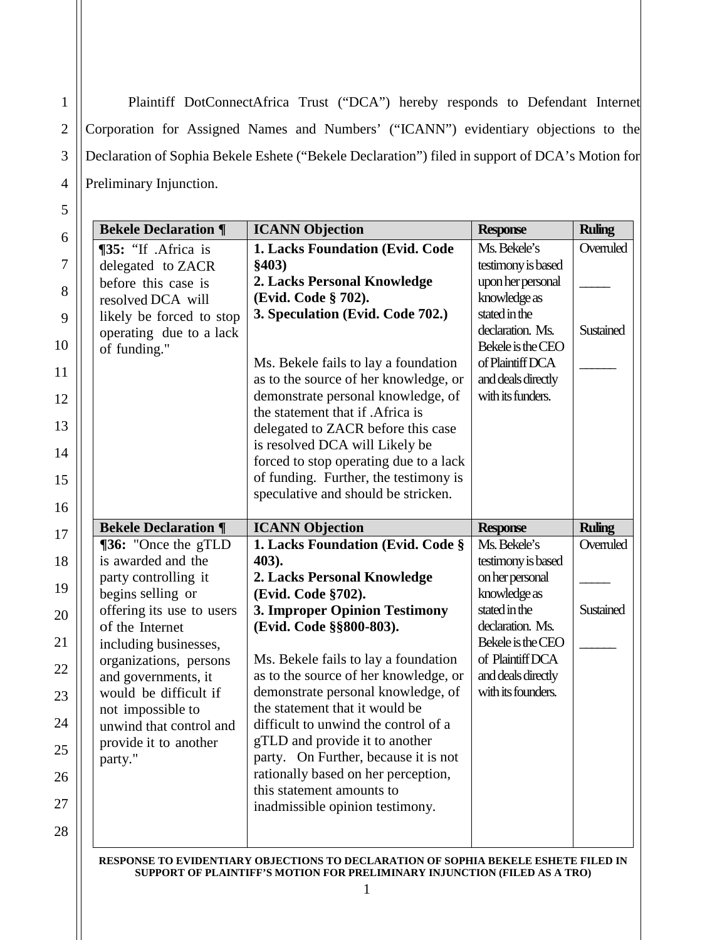Corporation for Assigned Names and Numbers' ("ICANN") evidentiary objections to the Declaration of Sophia Bekele Eshete ("Bekele Declaration") filed in support of DCA's Motion for Preliminary Injunction. Plaintiff DotConnectAfrica Trust ("DCA") hereby responds to Defendant Internet

| <b>Bekele Declaration ¶</b>              | <b>ICANN Objection</b>                                                       | <b>Response</b>                   | <b>Ruling</b> |
|------------------------------------------|------------------------------------------------------------------------------|-----------------------------------|---------------|
| ¶35: "If .Africa is                      | 1. Lacks Foundation (Evid. Code                                              | Ms. Bekele's                      | Overruled     |
| delegated to ZACR                        | \$403)                                                                       | testimony is based                |               |
| before this case is                      | 2. Lacks Personal Knowledge                                                  | upon her personal                 |               |
| resolved DCA will                        | (Evid. Code § 702).                                                          | knowledge as                      |               |
| likely be forced to stop                 | 3. Speculation (Evid. Code 702.)                                             | stated in the<br>declaration. Ms. | Sustained     |
| operating due to a lack<br>of funding."  |                                                                              | Bekele is the CEO                 |               |
|                                          | Ms. Bekele fails to lay a foundation                                         | of Plaintiff DCA                  |               |
|                                          | as to the source of her knowledge, or                                        | and deals directly                |               |
|                                          | demonstrate personal knowledge, of                                           | with its funders.                 |               |
|                                          | the statement that if .Africa is                                             |                                   |               |
|                                          | delegated to ZACR before this case                                           |                                   |               |
|                                          | is resolved DCA will Likely be                                               |                                   |               |
|                                          | forced to stop operating due to a lack                                       |                                   |               |
|                                          | of funding. Further, the testimony is<br>speculative and should be stricken. |                                   |               |
|                                          |                                                                              |                                   |               |
| <b>Bekele Declaration ¶</b>              | <b>ICANN Objection</b>                                                       | <b>Response</b>                   | <b>Ruling</b> |
| <b>[36:</b> "Once the gTLD               | 1. Lacks Foundation (Evid. Code §                                            | Ms. Bekele's                      | Overruled     |
| is awarded and the                       | 403).                                                                        | testimony is based                |               |
| party controlling it                     | 2. Lacks Personal Knowledge                                                  | on her personal                   |               |
| begins selling or                        | (Evid. Code §702).                                                           | knowledge as                      |               |
| offering its use to users                | 3. Improper Opinion Testimony                                                | stated in the<br>declaration. Ms. | Sustained     |
| of the Internet<br>including businesses, | (Evid. Code §§800-803).                                                      | Bekele is the CEO                 |               |
| organizations, persons                   | Ms. Bekele fails to lay a foundation                                         | of Plaintiff DCA                  |               |
| and governments, it                      | as to the source of her knowledge, or                                        | and deals directly                |               |
| would be difficult if                    | demonstrate personal knowledge, of                                           | with its founders.                |               |
| not impossible to                        | the statement that it would be                                               |                                   |               |
| unwind that control and                  | difficult to unwind the control of a                                         |                                   |               |
| provide it to another                    | gTLD and provide it to another                                               |                                   |               |
| party."                                  | party. On Further, because it is not                                         |                                   |               |
|                                          |                                                                              |                                   |               |
|                                          | rationally based on her perception,                                          |                                   |               |
|                                          | this statement amounts to                                                    |                                   |               |
|                                          | inadmissible opinion testimony.                                              |                                   |               |

**SUPPORT OF PLAINTIFF'S MOTION FOR PRELIMINARY INJUNCTION (FILED AS A TRO)**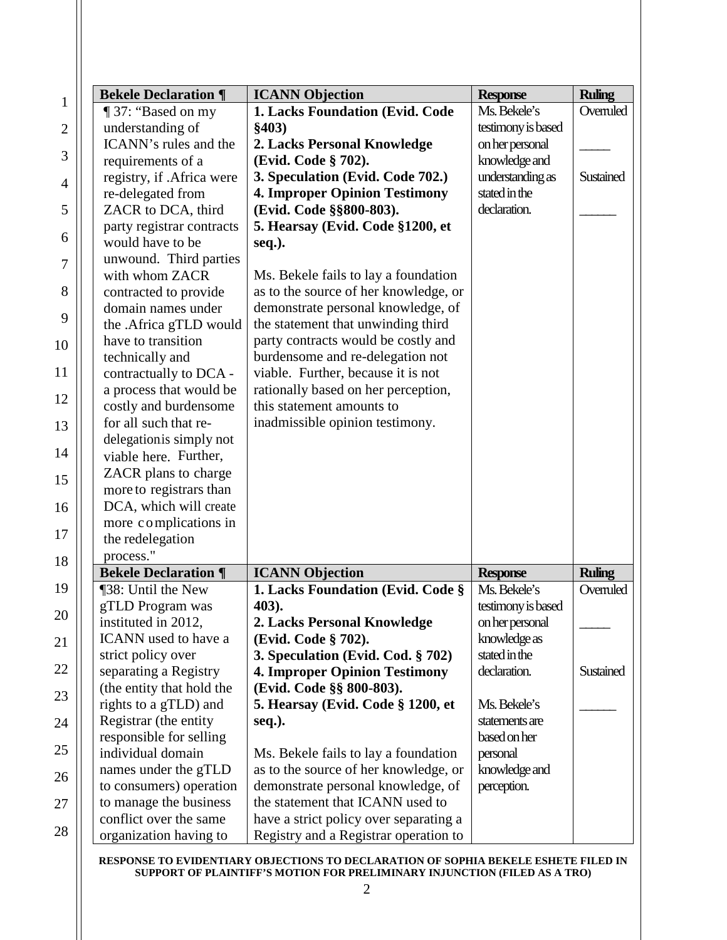| <b>Bekele Declaration ¶</b>                      | <b>ICANN</b> Objection                                                     | <b>Response</b>                | <b>Ruling</b> |
|--------------------------------------------------|----------------------------------------------------------------------------|--------------------------------|---------------|
| ¶ 37: "Based on my                               | 1. Lacks Foundation (Evid. Code                                            | Ms. Bekele's                   | Overruled     |
| understanding of                                 | \$403)                                                                     | testimony is based             |               |
| ICANN's rules and the                            | 2. Lacks Personal Knowledge                                                | on her personal                |               |
| requirements of a                                | (Evid. Code § 702).                                                        | knowledge and                  |               |
| registry, if .Africa were                        | 3. Speculation (Evid. Code 702.)                                           | understanding as               | Sustained     |
| re-delegated from                                | <b>4. Improper Opinion Testimony</b>                                       | stated in the                  |               |
| ZACR to DCA, third                               | (Evid. Code §§800-803).                                                    | declaration.                   |               |
| party registrar contracts                        | 5. Hearsay (Evid. Code §1200, et                                           |                                |               |
| would have to be                                 | seq.).                                                                     |                                |               |
| unwound. Third parties                           |                                                                            |                                |               |
| with whom ZACR                                   | Ms. Bekele fails to lay a foundation                                       |                                |               |
| contracted to provide                            | as to the source of her knowledge, or                                      |                                |               |
| domain names under                               | demonstrate personal knowledge, of                                         |                                |               |
| the .Africa gTLD would                           | the statement that unwinding third                                         |                                |               |
| have to transition                               | party contracts would be costly and                                        |                                |               |
| technically and                                  | burdensome and re-delegation not                                           |                                |               |
| contractually to DCA -                           | viable. Further, because it is not                                         |                                |               |
| a process that would be                          | rationally based on her perception,                                        |                                |               |
| costly and burdensome                            | this statement amounts to                                                  |                                |               |
| for all such that re-                            | inadmissible opinion testimony.                                            |                                |               |
| delegationis simply not                          |                                                                            |                                |               |
| viable here. Further,                            |                                                                            |                                |               |
| ZACR plans to charge                             |                                                                            |                                |               |
|                                                  |                                                                            |                                |               |
|                                                  |                                                                            |                                |               |
| more to registrars than                          |                                                                            |                                |               |
| DCA, which will create                           |                                                                            |                                |               |
| more complications in                            |                                                                            |                                |               |
| the redelegation                                 |                                                                            |                                |               |
| process."                                        |                                                                            |                                |               |
| <b>Bekele Declaration ¶</b>                      | <b>ICANN Objection</b>                                                     | <b>Response</b>                | <b>Ruling</b> |
| ¶38: Until the New                               | 1. Lacks Foundation (Evid. Code §                                          | Ms. Bekele's                   |               |
| gTLD Program was                                 | 403).                                                                      | testimony is based             |               |
| instituted in 2012,<br>ICANN used to have a      | 2. Lacks Personal Knowledge                                                | on her personal                | Overruled     |
|                                                  | (Evid. Code § 702).                                                        | knowledge as                   |               |
| strict policy over                               | 3. Speculation (Evid. Cod. § 702)                                          | stated in the                  |               |
| separating a Registry                            | <b>4. Improper Opinion Testimony</b>                                       | declaration.                   | Sustained     |
| (the entity that hold the                        | (Evid. Code §§ 800-803).                                                   |                                |               |
| rights to a gTLD) and                            | 5. Hearsay (Evid. Code § 1200, et                                          | Ms. Bekele's                   |               |
| Registrar (the entity                            | seq.).                                                                     | statements are<br>based on her |               |
| responsible for selling                          |                                                                            |                                |               |
| individual domain                                | Ms. Bekele fails to lay a foundation                                       | personal                       |               |
| names under the gTLD                             | as to the source of her knowledge, or                                      | knowledge and                  |               |
| to consumers) operation                          | demonstrate personal knowledge, of                                         | perception.                    |               |
| to manage the business<br>conflict over the same | the statement that ICANN used to<br>have a strict policy over separating a |                                |               |

**RESPONSE TO EVIDENTIARY OBJECTIONS TO DECLARATION OF SOPHIA BEKELE ESHETE FILED IN SUPPORT OF PLAINTIFF'S MOTION FOR PRELIMINARY INJUNCTION (FILED AS A TRO)**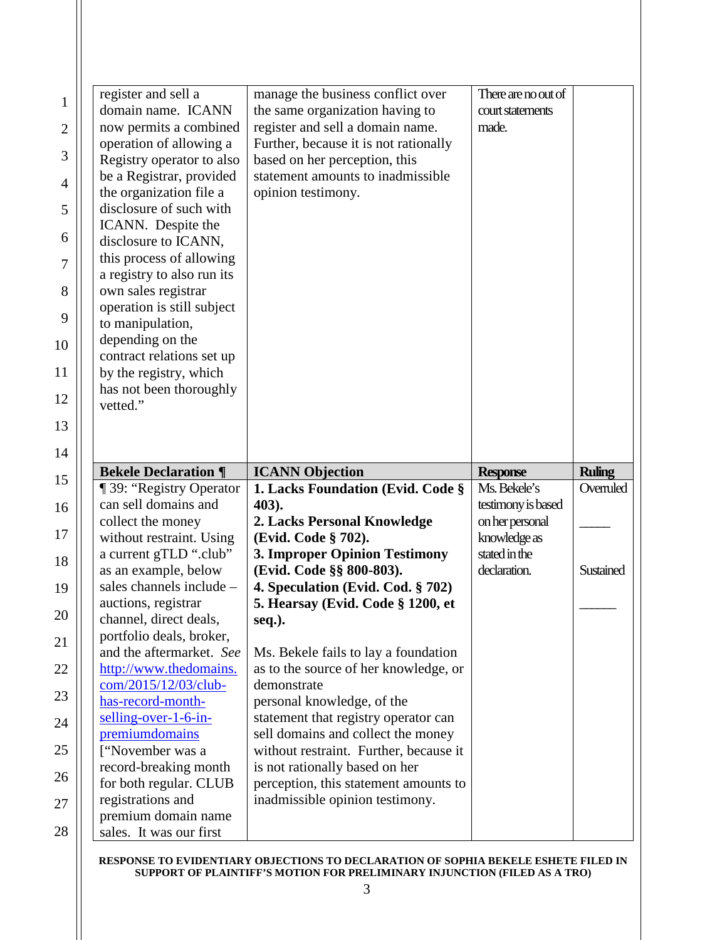|             | register and sell a                              | manage the business conflict over                                | There are no out of           |               |
|-------------|--------------------------------------------------|------------------------------------------------------------------|-------------------------------|---------------|
| $\mathbf 1$ | domain name. ICANN                               | the same organization having to                                  | court statements              |               |
| 2           | now permits a combined                           | register and sell a domain name.                                 | made.                         |               |
|             | operation of allowing a                          | Further, because it is not rationally                            |                               |               |
|             | Registry operator to also                        | based on her perception, this                                    |                               |               |
|             | be a Registrar, provided                         | statement amounts to inadmissible                                |                               |               |
|             | the organization file a                          | opinion testimony.                                               |                               |               |
|             | disclosure of such with                          |                                                                  |                               |               |
|             | ICANN. Despite the                               |                                                                  |                               |               |
|             | disclosure to ICANN,<br>this process of allowing |                                                                  |                               |               |
|             | a registry to also run its                       |                                                                  |                               |               |
|             | own sales registrar                              |                                                                  |                               |               |
|             | operation is still subject                       |                                                                  |                               |               |
|             | to manipulation,                                 |                                                                  |                               |               |
|             | depending on the                                 |                                                                  |                               |               |
|             | contract relations set up                        |                                                                  |                               |               |
|             | by the registry, which                           |                                                                  |                               |               |
|             | has not been thoroughly                          |                                                                  |                               |               |
|             | vetted."                                         |                                                                  |                               |               |
|             |                                                  |                                                                  |                               |               |
|             |                                                  |                                                                  |                               |               |
| 14          |                                                  |                                                                  |                               |               |
|             |                                                  |                                                                  |                               |               |
|             | <b>Bekele Declaration ¶</b>                      | <b>ICANN Objection</b>                                           | <b>Response</b>               | <b>Ruling</b> |
|             | <b>1</b> 39: "Registry Operator                  | 1. Lacks Foundation (Evid. Code §                                | Ms. Bekele's                  | Overruled     |
|             | can sell domains and                             | 403).                                                            | testimony is based            |               |
|             | collect the money                                | 2. Lacks Personal Knowledge                                      | on her personal               |               |
|             | without restraint. Using                         | (Evid. Code § 702).                                              | knowledge as<br>stated in the |               |
|             | a current gTLD ".club"<br>as an example, below   | <b>3. Improper Opinion Testimony</b><br>(Evid. Code §§ 800-803). | declaration.                  | Sustained     |
|             | sales channels include -                         | 4. Speculation (Evid. Cod. § 702)                                |                               |               |
|             | auctions, registrar                              | 5. Hearsay (Evid. Code § 1200, et                                |                               |               |
|             | channel, direct deals,                           | seq.).                                                           |                               |               |
|             | portfolio deals, broker,                         |                                                                  |                               |               |
|             | and the aftermarket. See                         | Ms. Bekele fails to lay a foundation                             |                               |               |
|             | http://www.thedomains.                           | as to the source of her knowledge, or                            |                               |               |
|             | com/2015/12/03/club-                             | demonstrate                                                      |                               |               |
|             | has-record-month-                                | personal knowledge, of the                                       |                               |               |
|             | selling-over-1-6-in-                             | statement that registry operator can                             |                               |               |
|             | premiumdomains                                   | sell domains and collect the money                               |                               |               |
|             | ["November was a                                 | without restraint. Further, because it                           |                               |               |
|             | record-breaking month                            | is not rationally based on her                                   |                               |               |
|             | for both regular. CLUB                           | perception, this statement amounts to                            |                               |               |
|             | registrations and<br>premium domain name         | inadmissible opinion testimony.                                  |                               |               |

**RESPONSE TO EVIDENTIARY OBJECTIONS TO DECLARATION OF SOPHIA BEKELE ESHETE FILED IN SUPPORT OF PLAINTIFF'S MOTION FOR PRELIMINARY INJUNCTION (FILED AS A TRO)**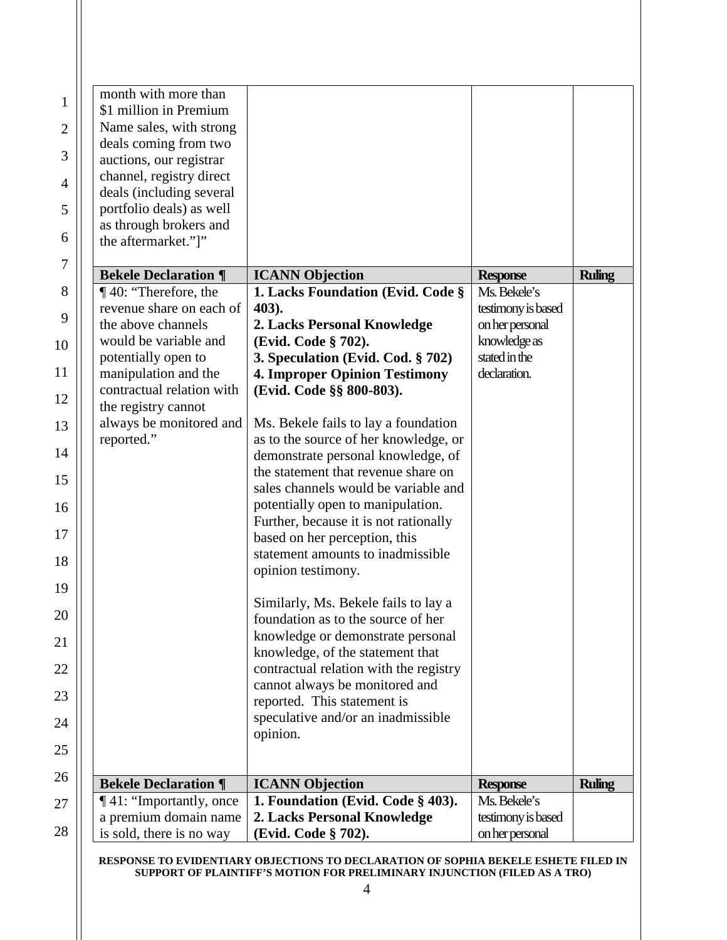| month with more than<br>\$1 million in Premium       |                                                                            |                               |               |
|------------------------------------------------------|----------------------------------------------------------------------------|-------------------------------|---------------|
| Name sales, with strong                              |                                                                            |                               |               |
| deals coming from two<br>auctions, our registrar     |                                                                            |                               |               |
| channel, registry direct<br>deals (including several |                                                                            |                               |               |
| portfolio deals) as well                             |                                                                            |                               |               |
| as through brokers and<br>the aftermarket."]"        |                                                                            |                               |               |
| <b>Bekele Declaration ¶</b>                          | <b>ICANN</b> Objection                                                     | <b>Response</b>               | <b>Ruling</b> |
| ¶40: "Therefore, the                                 | 1. Lacks Foundation (Evid. Code §                                          | Ms. Bekele's                  |               |
| revenue share on each of                             | 403).                                                                      | testimony is based            |               |
| the above channels                                   | 2. Lacks Personal Knowledge                                                | on her personal               |               |
| would be variable and                                | (Evid. Code § 702).                                                        | knowledge as                  |               |
| potentially open to<br>manipulation and the          | 3. Speculation (Evid. Cod. § 702)<br><b>4. Improper Opinion Testimony</b>  | stated in the<br>declaration. |               |
| contractual relation with<br>the registry cannot     | (Evid. Code §§ 800-803).                                                   |                               |               |
| always be monitored and                              | Ms. Bekele fails to lay a foundation                                       |                               |               |
| reported."                                           | as to the source of her knowledge, or                                      |                               |               |
|                                                      | demonstrate personal knowledge, of                                         |                               |               |
|                                                      | the statement that revenue share on                                        |                               |               |
|                                                      | sales channels would be variable and                                       |                               |               |
|                                                      | potentially open to manipulation.<br>Further, because it is not rationally |                               |               |
|                                                      | based on her perception, this                                              |                               |               |
|                                                      | statement amounts to inadmissible                                          |                               |               |
|                                                      | opinion testimony.                                                         |                               |               |
|                                                      | Similarly, Ms. Bekele fails to lay a                                       |                               |               |
|                                                      | foundation as to the source of her                                         |                               |               |
|                                                      | knowledge or demonstrate personal                                          |                               |               |
|                                                      | knowledge, of the statement that                                           |                               |               |
|                                                      | contractual relation with the registry                                     |                               |               |
|                                                      | cannot always be monitored and                                             |                               |               |
|                                                      | reported. This statement is                                                |                               |               |
|                                                      | speculative and/or an inadmissible<br>opinion.                             |                               |               |
|                                                      |                                                                            |                               |               |
| <b>Bekele Declaration ¶</b>                          | <b>ICANN</b> Objection                                                     | <b>Response</b>               | <b>Ruling</b> |
| 141: "Importantly, once                              | 1. Foundation (Evid. Code § 403).                                          | Ms. Bekele's                  |               |
| a premium domain name                                | 2. Lacks Personal Knowledge                                                | testimony is based            |               |
| is sold, there is no way                             | (Evid. Code § 702).                                                        | on her personal               |               |

**RESPONSE TO EVIDENTIARY OBJECTIONS TO DECLARATION OF SOPHIA BEKELE ESHETE FILED IN SUPPORT OF PLAINTIFF'S MOTION FOR PRELIMINARY INJUNCTION (FILED AS A TRO)**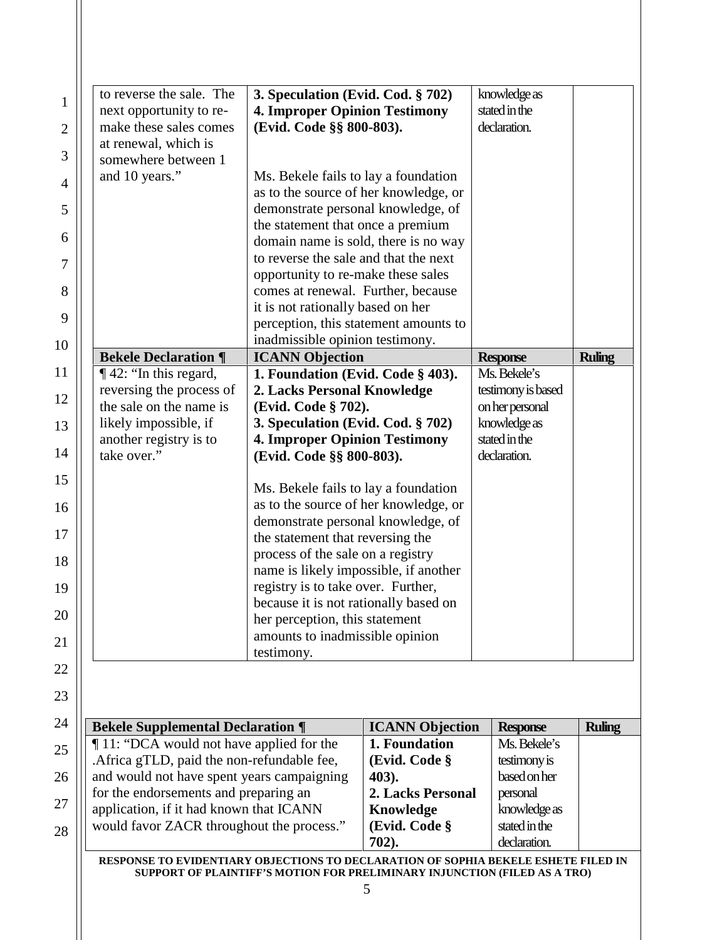| somewhere between 1<br>and 10 years."<br><b>Bekele Declaration ¶</b><br>142: "In this regard,<br>reversing the process of<br>the sale on the name is<br>likely impossible, if | Ms. Bekele fails to lay a foundation<br>as to the source of her knowledge, or<br>demonstrate personal knowledge, of<br>the statement that once a premium<br>domain name is sold, there is no way<br>to reverse the sale and that the next<br>opportunity to re-make these sales<br>comes at renewal. Further, because<br>it is not rationally based on her<br>perception, this statement amounts to<br>inadmissible opinion testimony.<br><b>ICANN Objection</b><br>1. Foundation (Evid. Code § 403).<br>2. Lacks Personal Knowledge |            | <b>Response</b>                                                                                                                                                                                                                                                                                                                                   | <b>Ruling</b> |
|-------------------------------------------------------------------------------------------------------------------------------------------------------------------------------|--------------------------------------------------------------------------------------------------------------------------------------------------------------------------------------------------------------------------------------------------------------------------------------------------------------------------------------------------------------------------------------------------------------------------------------------------------------------------------------------------------------------------------------|------------|---------------------------------------------------------------------------------------------------------------------------------------------------------------------------------------------------------------------------------------------------------------------------------------------------------------------------------------------------|---------------|
|                                                                                                                                                                               |                                                                                                                                                                                                                                                                                                                                                                                                                                                                                                                                      |            |                                                                                                                                                                                                                                                                                                                                                   |               |
|                                                                                                                                                                               |                                                                                                                                                                                                                                                                                                                                                                                                                                                                                                                                      |            |                                                                                                                                                                                                                                                                                                                                                   |               |
|                                                                                                                                                                               |                                                                                                                                                                                                                                                                                                                                                                                                                                                                                                                                      |            |                                                                                                                                                                                                                                                                                                                                                   |               |
|                                                                                                                                                                               |                                                                                                                                                                                                                                                                                                                                                                                                                                                                                                                                      |            |                                                                                                                                                                                                                                                                                                                                                   |               |
|                                                                                                                                                                               |                                                                                                                                                                                                                                                                                                                                                                                                                                                                                                                                      |            |                                                                                                                                                                                                                                                                                                                                                   |               |
|                                                                                                                                                                               |                                                                                                                                                                                                                                                                                                                                                                                                                                                                                                                                      |            |                                                                                                                                                                                                                                                                                                                                                   |               |
|                                                                                                                                                                               |                                                                                                                                                                                                                                                                                                                                                                                                                                                                                                                                      |            |                                                                                                                                                                                                                                                                                                                                                   |               |
|                                                                                                                                                                               |                                                                                                                                                                                                                                                                                                                                                                                                                                                                                                                                      |            |                                                                                                                                                                                                                                                                                                                                                   |               |
|                                                                                                                                                                               |                                                                                                                                                                                                                                                                                                                                                                                                                                                                                                                                      |            |                                                                                                                                                                                                                                                                                                                                                   |               |
|                                                                                                                                                                               |                                                                                                                                                                                                                                                                                                                                                                                                                                                                                                                                      |            |                                                                                                                                                                                                                                                                                                                                                   |               |
|                                                                                                                                                                               |                                                                                                                                                                                                                                                                                                                                                                                                                                                                                                                                      |            | Ms. Bekele's                                                                                                                                                                                                                                                                                                                                      |               |
|                                                                                                                                                                               |                                                                                                                                                                                                                                                                                                                                                                                                                                                                                                                                      |            | testimony is based                                                                                                                                                                                                                                                                                                                                |               |
|                                                                                                                                                                               | (Evid. Code § 702).                                                                                                                                                                                                                                                                                                                                                                                                                                                                                                                  |            | on her personal                                                                                                                                                                                                                                                                                                                                   |               |
|                                                                                                                                                                               | 3. Speculation (Evid. Cod. § 702)                                                                                                                                                                                                                                                                                                                                                                                                                                                                                                    |            | knowledge as                                                                                                                                                                                                                                                                                                                                      |               |
| another registry is to                                                                                                                                                        | <b>4. Improper Opinion Testimony</b>                                                                                                                                                                                                                                                                                                                                                                                                                                                                                                 |            | stated in the                                                                                                                                                                                                                                                                                                                                     |               |
| take over."                                                                                                                                                                   | (Evid. Code §§ 800-803).                                                                                                                                                                                                                                                                                                                                                                                                                                                                                                             |            | declaration.                                                                                                                                                                                                                                                                                                                                      |               |
|                                                                                                                                                                               | Ms. Bekele fails to lay a foundation                                                                                                                                                                                                                                                                                                                                                                                                                                                                                                 |            |                                                                                                                                                                                                                                                                                                                                                   |               |
|                                                                                                                                                                               |                                                                                                                                                                                                                                                                                                                                                                                                                                                                                                                                      |            |                                                                                                                                                                                                                                                                                                                                                   |               |
|                                                                                                                                                                               |                                                                                                                                                                                                                                                                                                                                                                                                                                                                                                                                      |            |                                                                                                                                                                                                                                                                                                                                                   |               |
|                                                                                                                                                                               |                                                                                                                                                                                                                                                                                                                                                                                                                                                                                                                                      |            |                                                                                                                                                                                                                                                                                                                                                   |               |
|                                                                                                                                                                               |                                                                                                                                                                                                                                                                                                                                                                                                                                                                                                                                      |            |                                                                                                                                                                                                                                                                                                                                                   |               |
|                                                                                                                                                                               |                                                                                                                                                                                                                                                                                                                                                                                                                                                                                                                                      |            |                                                                                                                                                                                                                                                                                                                                                   |               |
|                                                                                                                                                                               |                                                                                                                                                                                                                                                                                                                                                                                                                                                                                                                                      |            |                                                                                                                                                                                                                                                                                                                                                   |               |
|                                                                                                                                                                               |                                                                                                                                                                                                                                                                                                                                                                                                                                                                                                                                      |            |                                                                                                                                                                                                                                                                                                                                                   |               |
|                                                                                                                                                                               |                                                                                                                                                                                                                                                                                                                                                                                                                                                                                                                                      |            |                                                                                                                                                                                                                                                                                                                                                   |               |
|                                                                                                                                                                               |                                                                                                                                                                                                                                                                                                                                                                                                                                                                                                                                      |            |                                                                                                                                                                                                                                                                                                                                                   |               |
|                                                                                                                                                                               |                                                                                                                                                                                                                                                                                                                                                                                                                                                                                                                                      | testimony. | as to the source of her knowledge, or<br>demonstrate personal knowledge, of<br>the statement that reversing the<br>process of the sale on a registry<br>name is likely impossible, if another<br>registry is to take over. Further,<br>because it is not rationally based on<br>her perception, this statement<br>amounts to inadmissible opinion |               |